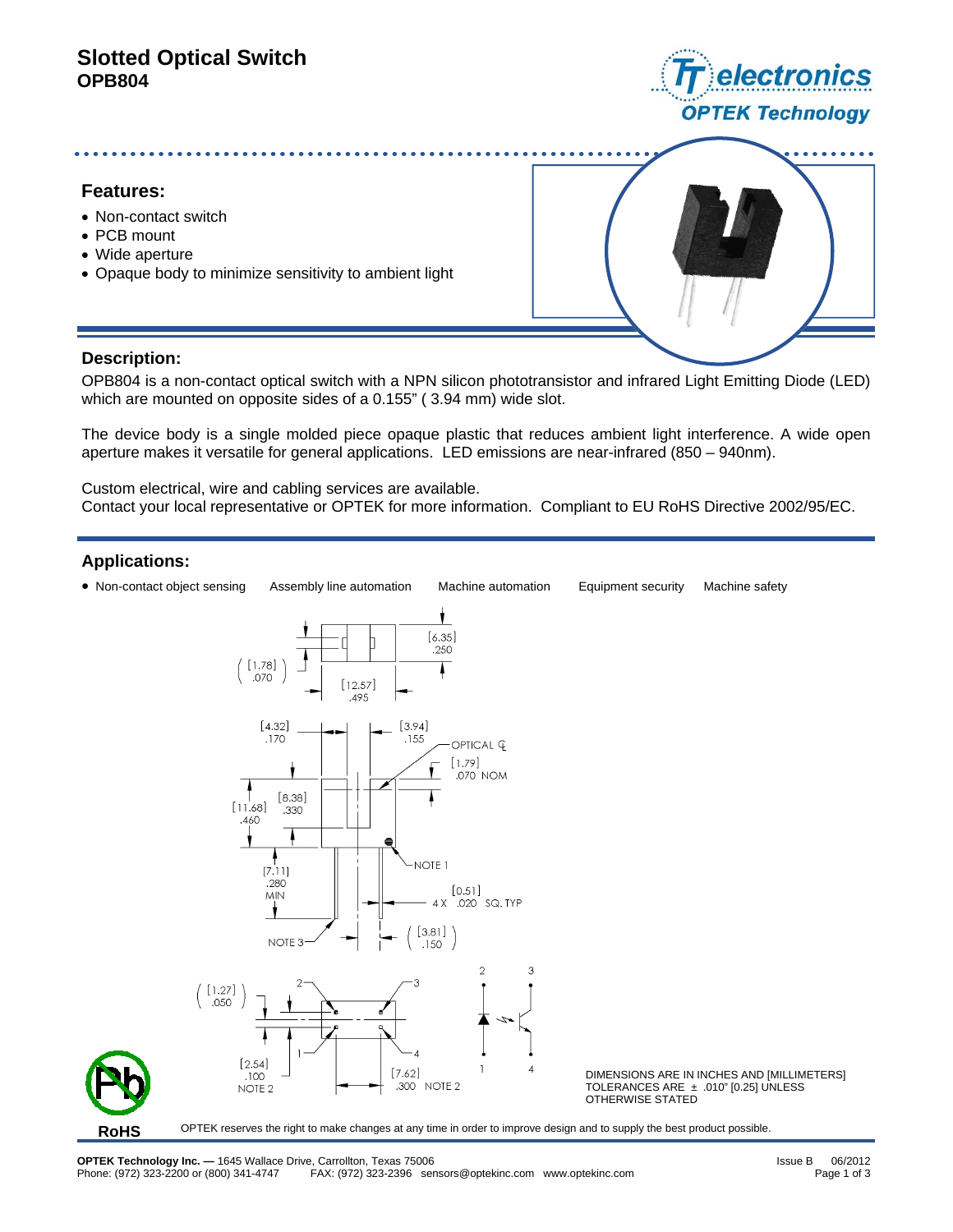# **Slotted Optical Switch OPB804**



## **Features:**

- Non-contact switch
- PCB mount
- Wide aperture
- Opaque body to minimize sensitivity to ambient light



## **Description:**

OPB804 is a non-contact optical switch with a NPN silicon phototransistor and infrared Light Emitting Diode (LED) which are mounted on opposite sides of a 0.155" ( 3.94 mm) wide slot.

The device body is a single molded piece opaque plastic that reduces ambient light interference. A wide open aperture makes it versatile for general applications. LED emissions are near-infrared (850 – 940nm).

Custom electrical, wire and cabling services are available. Contact your local representative or OPTEK for more information. Compliant to EU RoHS Directive 2002/95/EC.

## **Applications:**

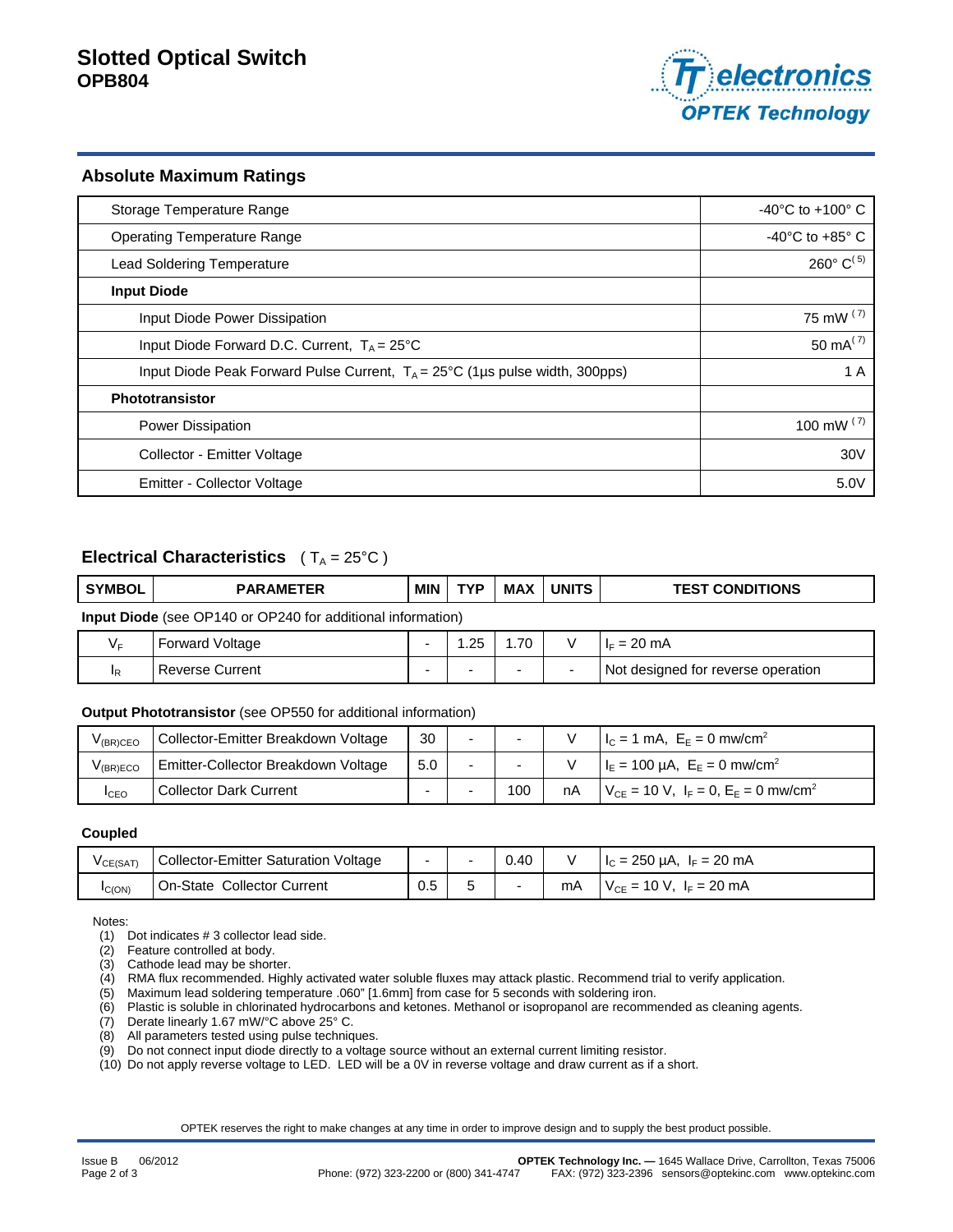

#### **Absolute Maximum Ratings**

| Storage Temperature Range                                                             | $-40^{\circ}$ C to $+100^{\circ}$ C  |
|---------------------------------------------------------------------------------------|--------------------------------------|
| <b>Operating Temperature Range</b>                                                    | -40 $^{\circ}$ C to +85 $^{\circ}$ C |
| <b>Lead Soldering Temperature</b>                                                     | $260^{\circ}$ C <sup>(5)</sup>       |
| <b>Input Diode</b>                                                                    |                                      |
| Input Diode Power Dissipation                                                         | 75 mW $(7)$                          |
| Input Diode Forward D.C. Current, $T_A = 25^{\circ}C$                                 | 50 mA $(7)$                          |
| Input Diode Peak Forward Pulse Current, $T_A = 25^{\circ}C$ (1µs pulse width, 300pps) | 1 A                                  |
| Phototransistor                                                                       |                                      |
| <b>Power Dissipation</b>                                                              | 100 mW $(7)$                         |
| Collector - Emitter Voltage                                                           | 30V                                  |
| Emitter - Collector Voltage                                                           | 5.0V                                 |

## **Electrical Characteristics**  $(T_A = 25^{\circ}C)$

| <b>SYMBOL</b>                                                      | <b>PARAMETER</b> | MIN | <b>TYP</b> | MAX | <b>UNITS</b> | <b>TEST CONDITIONS</b> |
|--------------------------------------------------------------------|------------------|-----|------------|-----|--------------|------------------------|
| <b>Input Diode</b> (see OP140 or OP240 for additional information) |                  |     |            |     |              |                        |

| Forward Voltage | 0F<br>ں ے. | 1.70 |   | $= 20 \text{ mA}$<br>H⊏            |
|-----------------|------------|------|---|------------------------------------|
| Reverse Current |            | -    | - | Not designed for reverse operation |

#### **Output Phototransistor** (see OP550 for additional information)

| V <sub>(BR)</sub> CEO | Collector-Emitter Breakdown Voltage | 30  | $\overline{\phantom{a}}$ |    | $I_C = 1$ mA, $E_E = 0$ mw/cm <sup>2</sup>                 |
|-----------------------|-------------------------------------|-----|--------------------------|----|------------------------------------------------------------|
| V <sub>(BR)ECO</sub>  | Emitter-Collector Breakdown Voltage | 5.0 | $\sim$                   |    | $I_{E} = 100 \mu A$ , $E_{E} = 0 \mu$ mw/cm <sup>2</sup>   |
| <b>I</b> CEO          | <b>Collector Dark Current</b>       |     | 100                      | nA | $V_{CE} = 10 V$ , $I_F = 0$ , $E_E = 0$ mw/cm <sup>2</sup> |

#### **Coupled**

| V CE(SAT) | Collector-Emitter Saturation Voltage |     | 0.40 |    | $I_c = 250 \mu A$ , $I_F = 20 \mu A$ |
|-----------|--------------------------------------|-----|------|----|--------------------------------------|
| IC(ON)    | On-State Collector Current           | 0.5 |      | mA | $V_{CF}$ = 10 V, $I_F$ = 20 mA       |

Notes:

(1) Dot indicates # 3 collector lead side.

(2) Feature controlled at body.

(3) Cathode lead may be shorter.

(4) RMA flux recommended. Highly activated water soluble fluxes may attack plastic. Recommend trial to verify application.

(5) Maximum lead soldering temperature .060" [1.6mm] from case for 5 seconds with soldering iron.

(6) Plastic is soluble in chlorinated hydrocarbons and ketones. Methanol or isopropanol are recommended as cleaning agents.

(7) Derate linearly 1.67 mW/°C above 25° C.

(8) All parameters tested using pulse techniques.

(9) Do not connect input diode directly to a voltage source without an external current limiting resistor.

(10) Do not apply reverse voltage to LED. LED will be a 0V in reverse voltage and draw current as if a short.

OPTEK reserves the right to make changes at any time in order to improve design and to supply the best product possible.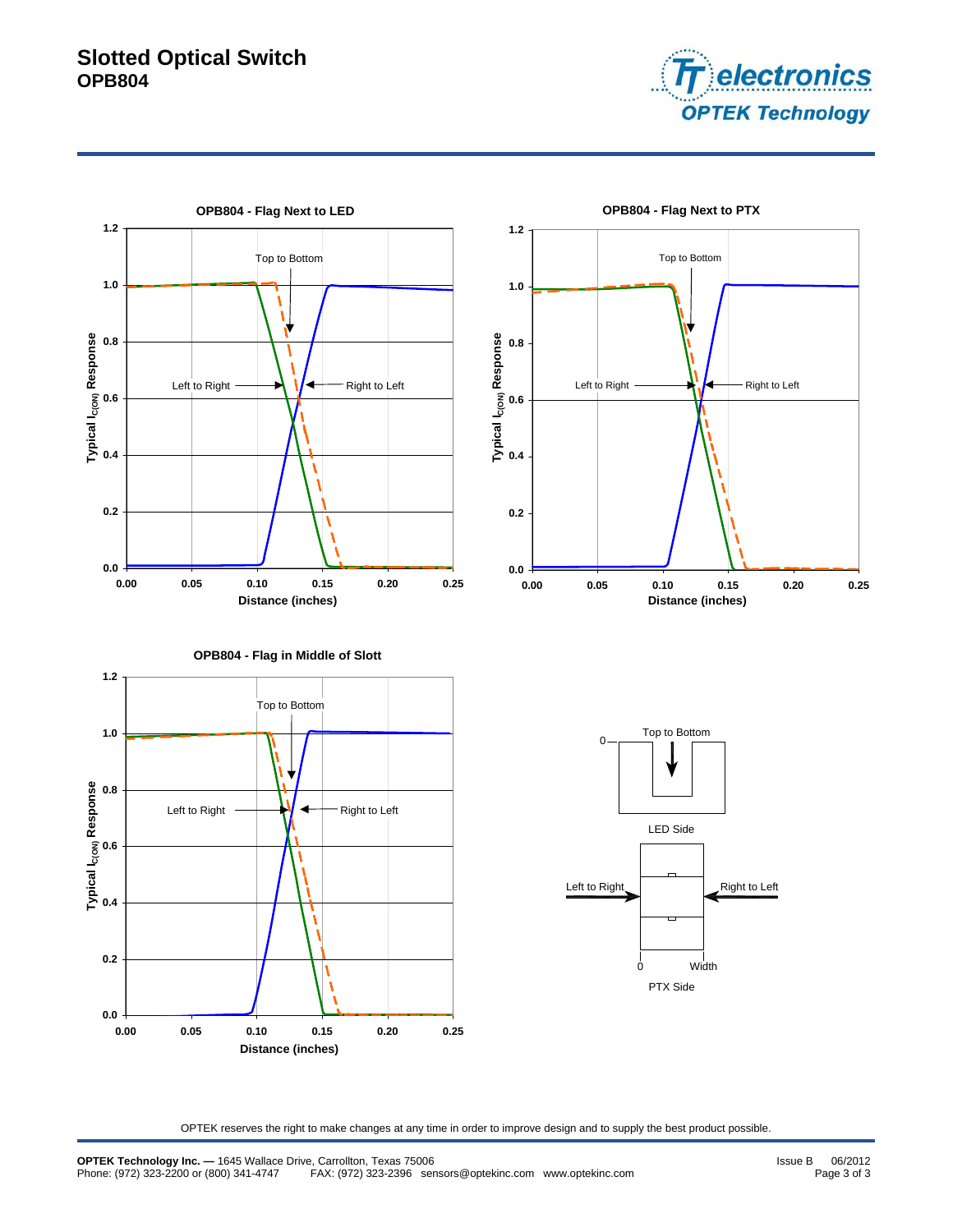# **Slotted Optical Switch OPB804**





OPTEK reserves the right to make changes at any time in order to improve design and to supply the best product possible.